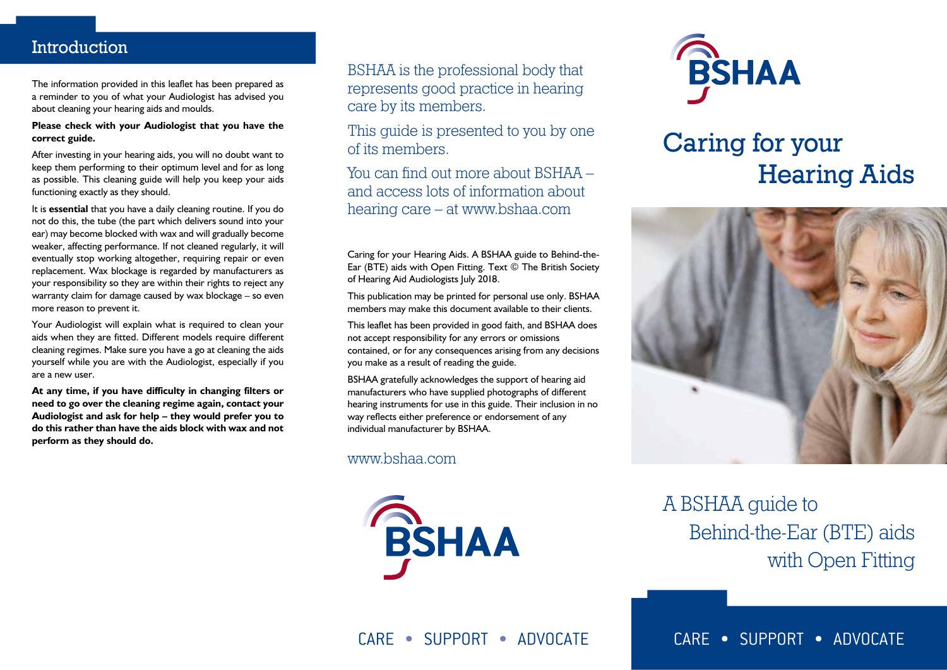### Introduction

The information provided in this leaflet has been prepared as a reminder to you of what your Audiologist has advised you about cleaning your hearing aids and moulds.

#### **Please check with your Audiologist that you have the correct guide.**

After investing in your hearing aids, you will no doubt want to keep them performing to their optimum level and for as long as possible. This cleaning guide will help you keep your aids functioning exactly as they should.

It is **essential** that you have a daily cleaning routine. If you do not do this, the tube (the part which delivers sound into your ear) may become blocked with wax and will gradually become weaker, affecting performance. If not cleaned regularly, it will eventually stop working altogether, requiring repair or even replacement. Wax blockage is regarded by manufacturers as your responsibility so they are within their rights to reject any warranty claim for damage caused by wax blockage – so even more reason to prevent it.

Your Audiologist will explain what is required to clean your aids when they are fitted. Different models require different cleaning regimes. Make sure you have a go at cleaning the aids yourself while you are with the Audiologist, especially if you are a new user.

**At any time, if you have difficulty in changing filters or need to go over the cleaning regime again, contact your Audiologist and ask for help – they would prefer you to do this rather than have the aids block with wax and not perform as they should do.**

BSHAA is the professional body that represents good practice in hearing care by its members.

This quide is presented to you by one of its members.

You can find out more about BSHAA – and access lots of information about hearing care – at www.bshaa.com

Caring for your Hearing Aids. A BSHAA guide to Behind-the-Ear (BTE) aids with Open Fitting. Text © The British Society of Hearing Aid Audiologists July 2018.

This publication may be printed for personal use only. BSHAA members may make this document available to their clients.

This leaflet has been provided in good faith, and BSHAA does not accept responsibility for any errors or omissions contained, or for any consequences arising from any decisions you make as a result of reading the guide.

BSHAA gratefully acknowledges the support of hearing aid manufacturers who have supplied photographs of different hearing instruments for use in this guide. Their inclusion in no way reflects either preference or endorsement of any individual manufacturer by BSHAA.

www.bshaa.com





# Caring for your Hearing Aids



A BSHAA guide to Behind-the-Ear (BTE) aids with Open Fitting

CARE • SUPPORT • ADVOCATE CARE • SUPPORT • ADVOCATE